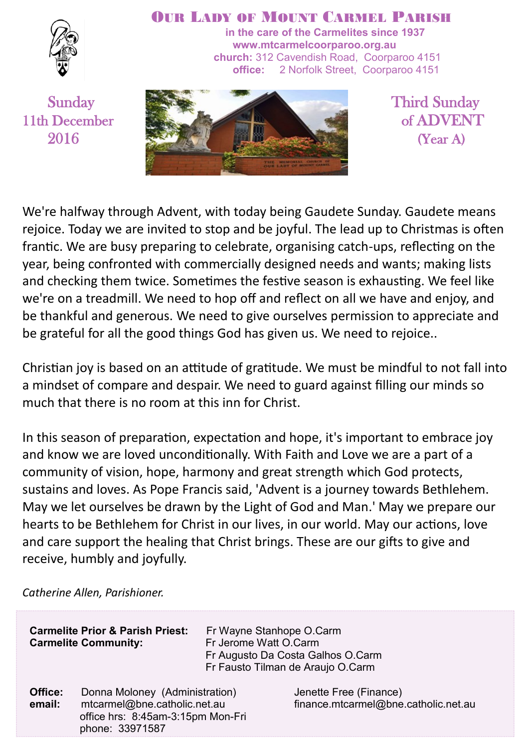

#### OUR LADY OF MOUNT CARMEL PARISH

**in the care of the Carmelites since 1937 www.mtcarmelcoorparoo.org.au church:** 312 Cavendish Road, Coorparoo 4151 **office:** 2 Norfolk Street, Coorparoo 4151



We're halfway through Advent, with today being Gaudete Sunday. Gaudete means rejoice. Today we are invited to stop and be joyful. The lead up to Christmas is often frantic. We are busy preparing to celebrate, organising catch-ups, reflecting on the year, being confronted with commercially designed needs and wants; making lists and checking them twice. Sometimes the festive season is exhausting. We feel like we're on a treadmill. We need to hop off and reflect on all we have and enjoy, and be thankful and generous. We need to give ourselves permission to appreciate and be grateful for all the good things God has given us. We need to rejoice..

Christian joy is based on an attitude of gratitude. We must be mindful to not fall into a mindset of compare and despair. We need to guard against filling our minds so much that there is no room at this inn for Christ.

In this season of preparation, expectation and hope, it's important to embrace joy and know we are loved unconditionally. With Faith and Love we are a part of a community of vision, hope, harmony and great strength which God protects, sustains and loves. As Pope Francis said, 'Advent is a journey towards Bethlehem. May we let ourselves be drawn by the Light of God and Man.' May we prepare our hearts to be Bethlehem for Christ in our lives, in our world. May our actions, love and care support the healing that Christ brings. These are our gifts to give and receive, humbly and joyfully.

*Catherine Allen, Parishioner.*

|                   | <b>Carmelite Prior &amp; Parish Priest:</b>                                                                            | Fr Wayne Stanhope O.Carm | Fr Augusto Da Costa Galhos O.Carm                              |
|-------------------|------------------------------------------------------------------------------------------------------------------------|--------------------------|----------------------------------------------------------------|
|                   | <b>Carmelite Community:</b>                                                                                            | Fr Jerome Watt O.Carm    | Fr Fausto Tilman de Araujo O.Carm                              |
| Office:<br>email: | Donna Moloney (Administration)<br>mtcarmel@bne.catholic.net.au<br>office hrs: 8:45am-3:15pm Mon-Fri<br>phone: 33971587 |                          | Jenette Free (Finance)<br>finance.mtcarmel@bne.catholic.net.au |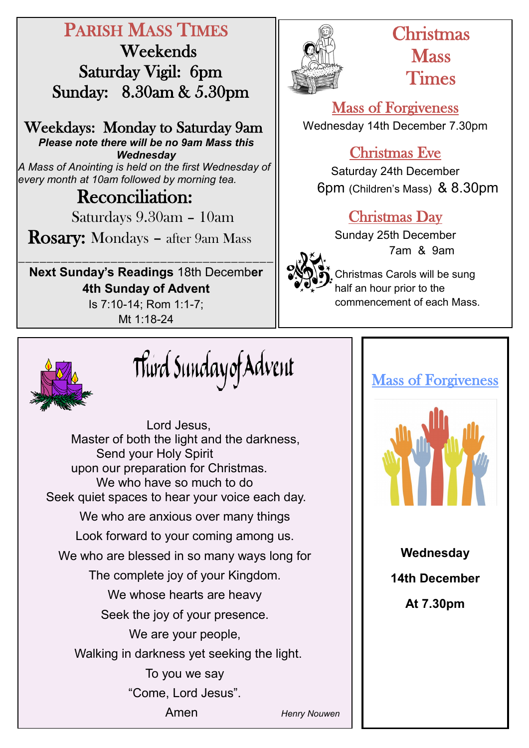# PARISH MASS TIMES

 Weekends Saturday Vigil: 6pm Sunday: 8.30am & 5.30pm

Weekdays: Monday to Saturday 9am *Please note there will be no 9am Mass this Wednesday A Mass of Anointing is held on the first Wednesday of every month at 10am followed by morning tea.*

# **Reconciliation:**

Saturdays 9.30am – 10am

Rosary: Mondays – after 9am Mass

\_\_\_\_\_\_\_\_\_\_\_\_\_\_\_\_\_\_\_\_\_\_\_\_\_\_\_\_\_\_\_\_\_\_\_\_ **Next Sunday's Readings** 18th Decemb**er 4th Sunday of Advent**  Is 7:10-14; Rom 1:1-7;

Mt 1:18-24



# Christmas **Mass** Times

Mass of Forgiveness Wednesday 14th December 7.30pm

# Christmas Eve

Saturday 24th December 6pm (Children's Mass) & 8.30pm

# Christmas Day

Sunday 25th December 7am & 9am



Christmas Carols will be sung half an hour prior to the commencement of each Mass.



Third Sundayof Advent

Lord Jesus, Master of both the light and the darkness, Send your Holy Spirit upon our preparation for Christmas. We who have so much to do Seek quiet spaces to hear your voice each day. We who are anxious over many things Look forward to your coming among us. We who are blessed in so many ways long for The complete joy of your Kingdom. We whose hearts are heavy Seek the joy of your presence. We are your people, Walking in darkness yet seeking the light. To you we say "Come, Lord Jesus". Amen *Henry Nouwen*

# Mass of Forgiveness



**Wednesday 14th December** 

**At 7.30pm**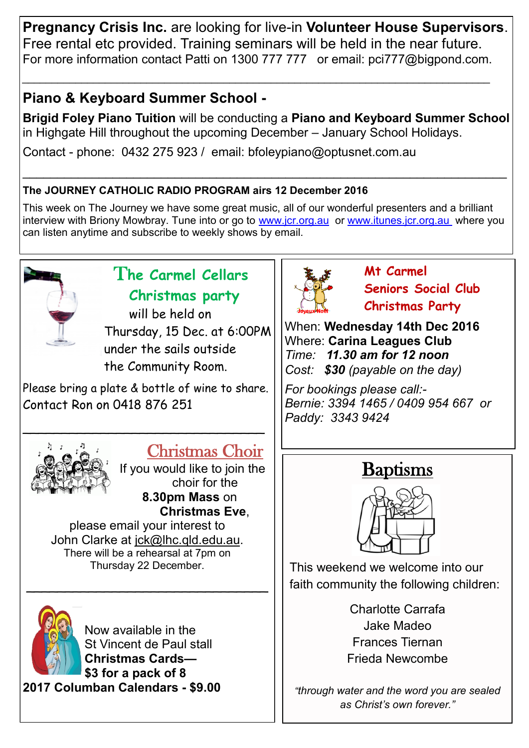**Pregnancy Crisis Inc.** are looking for live-in **Volunteer House Supervisors**. Free rental etc provided. Training seminars will be held in the near future. For more information contact Patti on 1300 777 777 or email: pci777@bigpond.com.

*\_\_\_\_\_\_\_\_\_\_\_\_\_\_\_\_\_\_\_\_\_\_\_\_\_\_\_\_\_\_\_\_\_\_\_\_\_\_\_\_\_\_\_\_\_\_\_\_\_\_\_\_\_\_\_\_\_\_\_\_\_\_\_\_\_\_\_\_\_\_\_\_\_\_\_\_\_\_\_*

# **Piano & Keyboard Summer School -**

**Brigid Foley Piano Tuition** will be conducting a **Piano and Keyboard Summer School**  in Highgate Hill throughout the upcoming December – January School Holidays.

Contact - phone: 0432 275 923 / email: bfoleypiano@optusnet.com.au

#### **The JOURNEY CATHOLIC RADIO PROGRAM airs 12 December 2016**

This week on The Journey we have some great music, all of our wonderful presenters and a brilliant interview with Briony Mowbray. Tune into or go to [www.jcr.org.au](http://www.jcr.org.au) or [www.itunes.jcr.org.au](http://www.itunes.jcr.org.au) where you can listen anytime and subscribe to weekly shows by email.

\_\_\_\_\_\_\_\_\_\_\_\_\_\_\_\_\_\_\_\_\_\_\_\_\_\_\_\_\_\_\_\_\_\_\_\_\_\_\_\_\_\_\_\_\_\_\_\_\_\_\_\_\_\_\_\_\_\_\_\_\_\_\_\_\_\_\_\_\_\_



# T**he Carmel Cellars Christmas party**

will be held on Thursday, 15 Dec. at 6:00PM under the sails outside the Community Room.

Please bring a plate & bottle of wine to share. Contact Ron on 0418 876 251

\_\_\_\_\_\_\_\_\_\_\_\_\_\_\_\_\_\_\_\_\_\_\_\_\_\_\_\_\_\_\_



# Christmas Choir

If you would like to join the choir for the **8.30pm Mass** on **Christmas Eve**,

please email your interest to John Clarke at [jck@lhc.qld.edu.au.](mailto:jck@lhc.qld.edu.au) There will be a rehearsal at 7pm on Thursday 22 December.

 $\sim$  , and the set of the set of the set of the set of the set of the set of the set of the set of the set of the set of the set of the set of the set of the set of the set of the set of the set of the set of the set of t



Now available in the St Vincent de Paul stall **Christmas Cards— \$3 for a pack of 8 2017 Columban Calendars - \$9.00**



**Mt Carmel Seniors Social Club Christmas Party**

When: **Wednesday 14th Dec 2016** Where: **Carina Leagues Club** *Time: 11.30 am for 12 noon Cost: \$30 (payable on the day)*

*For bookings please call:- Bernie: 3394 1465 / 0409 954 667 or Paddy: 3343 9424* 



This weekend we welcome into our faith community the following children:

> Charlotte Carrafa Jake Madeo Frances Tiernan Frieda Newcombe

*"through water and the word you are sealed as Christ's own forever."*